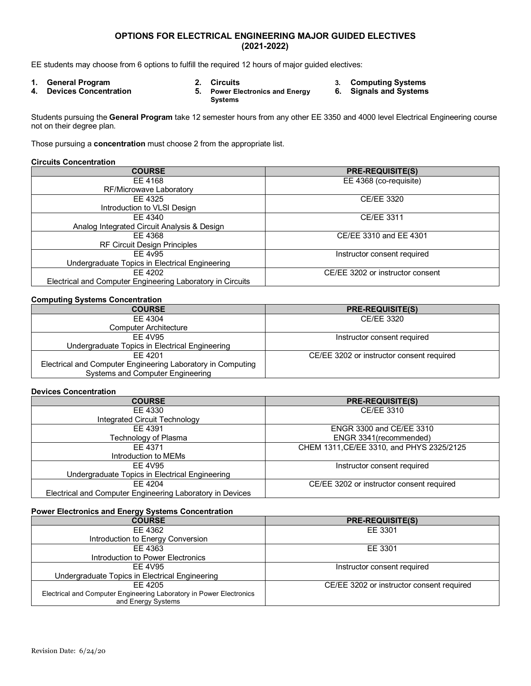# **OPTIONS FOR ELECTRICAL ENGINEERING MAJOR GUIDED ELECTIVES (2021-2022)**

EE students may choose from 6 options to fulfill the required 12 hours of major guided electives:

- 
- 
- **4. Devices Concentration 5. Power Electronics and Energy Systems**
- **1. General Program 2. Circuits 3. Computing Systems** 
	- **6. Signals and Systems**

Students pursuing the **General Program** take 12 semester hours from any other EE 3350 and 4000 level Electrical Engineering course not on their degree plan.

Those pursuing a **concentration** must choose 2 from the appropriate list.

#### **Circuits Concentration**

| <b>COURSE</b>                                              | <b>PRE-REQUISITE(S)</b>          |
|------------------------------------------------------------|----------------------------------|
| EE 4168                                                    | EE 4368 (co-requisite)           |
| RF/Microwave Laboratory                                    |                                  |
| EE 4325                                                    | CE/EE 3320                       |
| Introduction to VLSI Design                                |                                  |
| FF 4340                                                    | CE/EE 3311                       |
| Analog Integrated Circuit Analysis & Design                |                                  |
| EE 4368                                                    | CE/EE 3310 and EE 4301           |
| <b>RF Circuit Design Principles</b>                        |                                  |
| EE 4v95                                                    | Instructor consent required      |
| Undergraduate Topics in Electrical Engineering             |                                  |
| FF 4202                                                    | CE/EE 3202 or instructor consent |
| Electrical and Computer Engineering Laboratory in Circuits |                                  |

## **Computing Systems Concentration**

| <b>COURSE</b>                                               | <b>PRE-REQUISITE(S)</b>                   |
|-------------------------------------------------------------|-------------------------------------------|
| FF 4304                                                     | CE/EE 3320                                |
| <b>Computer Architecture</b>                                |                                           |
| FF 4V95                                                     | Instructor consent required               |
| Undergraduate Topics in Electrical Engineering              |                                           |
| FF 4201                                                     | CE/EE 3202 or instructor consent required |
| Electrical and Computer Engineering Laboratory in Computing |                                           |
| Systems and Computer Engineering                            |                                           |

#### **Devices Concentration**

| <b>COURSE</b>                                             | <b>PRE-REQUISITE(S)</b>                   |
|-----------------------------------------------------------|-------------------------------------------|
| EE 4330                                                   | CE/EE 3310                                |
| Integrated Circuit Technology                             |                                           |
| EE 4391                                                   | <b>ENGR 3300 and CE/EE 3310</b>           |
| Technology of Plasma                                      | ENGR 3341(recommended)                    |
| FF 4371                                                   | CHEM 1311, CE/EE 3310, and PHYS 2325/2125 |
| Introduction to MEMs                                      |                                           |
| EE 4V95                                                   | Instructor consent required               |
| Undergraduate Topics in Electrical Engineering            |                                           |
| EE 4204                                                   | CE/EE 3202 or instructor consent required |
| Electrical and Computer Engineering Laboratory in Devices |                                           |

## **Power Electronics and Energy Systems Concentration**

| <b>COURSE</b>                                                       | <b>PRE-REQUISITE(S)</b>                   |
|---------------------------------------------------------------------|-------------------------------------------|
| EE 4362                                                             | EE 3301                                   |
| Introduction to Energy Conversion                                   |                                           |
| FF 4363                                                             | EE 3301                                   |
| Introduction to Power Electronics                                   |                                           |
| FF 4V95                                                             | Instructor consent required               |
| Undergraduate Topics in Electrical Engineering                      |                                           |
| FF 4205                                                             | CE/EE 3202 or instructor consent required |
| Electrical and Computer Engineering Laboratory in Power Electronics |                                           |
| and Energy Systems                                                  |                                           |